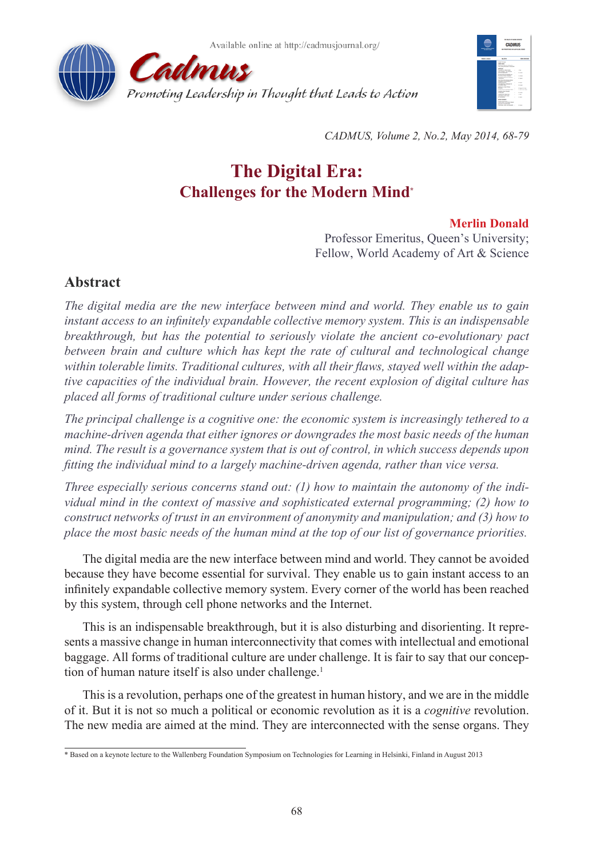



*CADMUS, Volume 2, No.2, May 2014, 68-79*

# **The Digital Era: Challenges for the Modern Mind\***

# **Merlin Donald**

Professor Emeritus, Queen's University; Fellow, World Academy of Art & Science

# **Abstract**

*The digital media are the new interface between mind and world. They enable us to gain instant access to an infinitely expandable collective memory system. This is an indispensable breakthrough, but has the potential to seriously violate the ancient co-evolutionary pact between brain and culture which has kept the rate of cultural and technological change within tolerable limits. Traditional cultures, with all their flaws, stayed well within the adaptive capacities of the individual brain. However, the recent explosion of digital culture has placed all forms of traditional culture under serious challenge.*

*The principal challenge is a cognitive one: the economic system is increasingly tethered to a machine-driven agenda that either ignores or downgrades the most basic needs of the human mind. The result is a governance system that is out of control, in which success depends upon fitting the individual mind to a largely machine-driven agenda, rather than vice versa.*

*Three especially serious concerns stand out: (1) how to maintain the autonomy of the individual mind in the context of massive and sophisticated external programming; (2) how to construct networks of trust in an environment of anonymity and manipulation; and (3) how to place the most basic needs of the human mind at the top of our list of governance priorities.*

The digital media are the new interface between mind and world. They cannot be avoided because they have become essential for survival. They enable us to gain instant access to an infinitely expandable collective memory system. Every corner of the world has been reached by this system, through cell phone networks and the Internet.

This is an indispensable breakthrough, but it is also disturbing and disorienting. It represents a massive change in human interconnectivity that comes with intellectual and emotional baggage. All forms of traditional culture are under challenge. It is fair to say that our conception of human nature itself is also under challenge.<sup>1</sup>

This is a revolution, perhaps one of the greatest in human history, and we are in the middle of it. But it is not so much a political or economic revolution as it is a *cognitive* revolution. The new media are aimed at the mind. They are interconnected with the sense organs. They

<sup>\*</sup> Based on a keynote lecture to the Wallenberg Foundation Symposium on Technologies for Learning in Helsinki, Finland in August 2013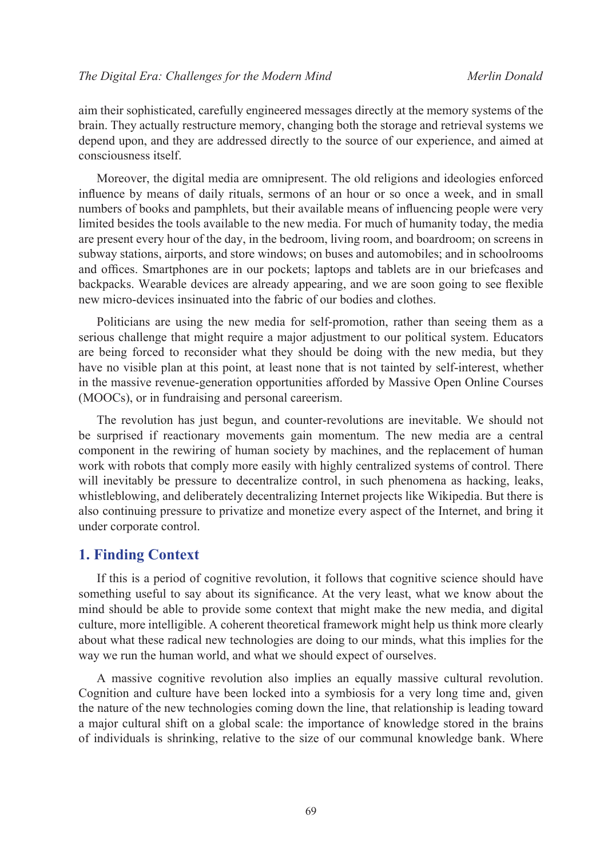aim their sophisticated, carefully engineered messages directly at the memory systems of the brain. They actually restructure memory, changing both the storage and retrieval systems we depend upon, and they are addressed directly to the source of our experience, and aimed at consciousness itself.

Moreover, the digital media are omnipresent. The old religions and ideologies enforced influence by means of daily rituals, sermons of an hour or so once a week, and in small numbers of books and pamphlets, but their available means of influencing people were very limited besides the tools available to the new media. For much of humanity today, the media are present every hour of the day, in the bedroom, living room, and boardroom; on screens in subway stations, airports, and store windows; on buses and automobiles; and in schoolrooms and offices. Smartphones are in our pockets; laptops and tablets are in our briefcases and backpacks. Wearable devices are already appearing, and we are soon going to see flexible new micro-devices insinuated into the fabric of our bodies and clothes.

Politicians are using the new media for self-promotion, rather than seeing them as a serious challenge that might require a major adjustment to our political system. Educators are being forced to reconsider what they should be doing with the new media, but they have no visible plan at this point, at least none that is not tainted by self-interest, whether in the massive revenue-generation opportunities afforded by Massive Open Online Courses (MOOCs), or in fundraising and personal careerism.

The revolution has just begun, and counter-revolutions are inevitable. We should not be surprised if reactionary movements gain momentum. The new media are a central component in the rewiring of human society by machines, and the replacement of human work with robots that comply more easily with highly centralized systems of control. There will inevitably be pressure to decentralize control, in such phenomena as hacking, leaks, whistleblowing, and deliberately decentralizing Internet projects like Wikipedia. But there is also continuing pressure to privatize and monetize every aspect of the Internet, and bring it under corporate control.

### **1. Finding Context**

If this is a period of cognitive revolution, it follows that cognitive science should have something useful to say about its significance. At the very least, what we know about the mind should be able to provide some context that might make the new media, and digital culture, more intelligible. A coherent theoretical framework might help us think more clearly about what these radical new technologies are doing to our minds, what this implies for the way we run the human world, and what we should expect of ourselves.

A massive cognitive revolution also implies an equally massive cultural revolution. Cognition and culture have been locked into a symbiosis for a very long time and, given the nature of the new technologies coming down the line, that relationship is leading toward a major cultural shift on a global scale: the importance of knowledge stored in the brains of individuals is shrinking, relative to the size of our communal knowledge bank. Where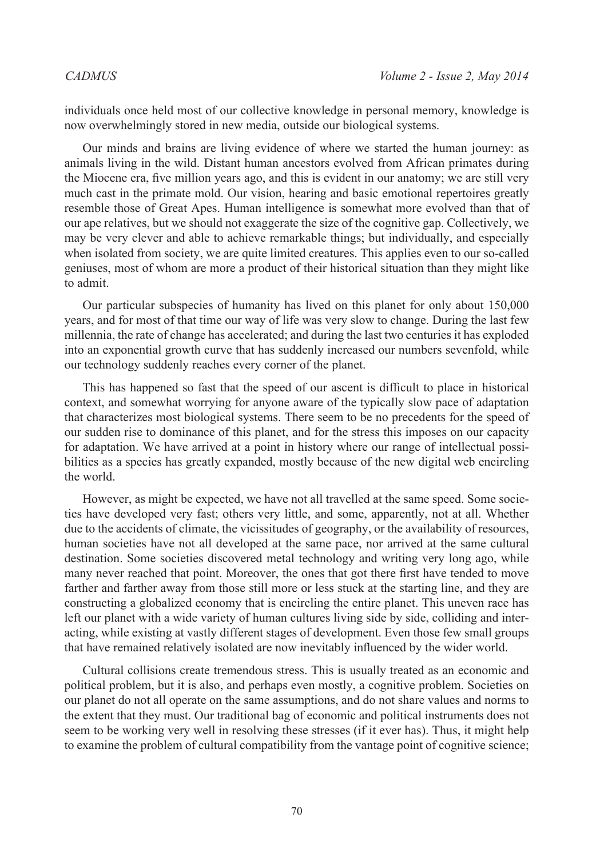individuals once held most of our collective knowledge in personal memory, knowledge is now overwhelmingly stored in new media, outside our biological systems.

Our minds and brains are living evidence of where we started the human journey: as animals living in the wild. Distant human ancestors evolved from African primates during the Miocene era, five million years ago, and this is evident in our anatomy; we are still very much cast in the primate mold. Our vision, hearing and basic emotional repertoires greatly resemble those of Great Apes. Human intelligence is somewhat more evolved than that of our ape relatives, but we should not exaggerate the size of the cognitive gap. Collectively, we may be very clever and able to achieve remarkable things; but individually, and especially when isolated from society, we are quite limited creatures. This applies even to our so-called geniuses, most of whom are more a product of their historical situation than they might like to admit.

Our particular subspecies of humanity has lived on this planet for only about 150,000 years, and for most of that time our way of life was very slow to change. During the last few millennia, the rate of change has accelerated; and during the last two centuries it has exploded into an exponential growth curve that has suddenly increased our numbers sevenfold, while our technology suddenly reaches every corner of the planet.

This has happened so fast that the speed of our ascent is difficult to place in historical context, and somewhat worrying for anyone aware of the typically slow pace of adaptation that characterizes most biological systems. There seem to be no precedents for the speed of our sudden rise to dominance of this planet, and for the stress this imposes on our capacity for adaptation. We have arrived at a point in history where our range of intellectual possibilities as a species has greatly expanded, mostly because of the new digital web encircling the world.

However, as might be expected, we have not all travelled at the same speed. Some societies have developed very fast; others very little, and some, apparently, not at all. Whether due to the accidents of climate, the vicissitudes of geography, or the availability of resources, human societies have not all developed at the same pace, nor arrived at the same cultural destination. Some societies discovered metal technology and writing very long ago, while many never reached that point. Moreover, the ones that got there first have tended to move farther and farther away from those still more or less stuck at the starting line, and they are constructing a globalized economy that is encircling the entire planet. This uneven race has left our planet with a wide variety of human cultures living side by side, colliding and interacting, while existing at vastly different stages of development. Even those few small groups that have remained relatively isolated are now inevitably influenced by the wider world.

Cultural collisions create tremendous stress. This is usually treated as an economic and political problem, but it is also, and perhaps even mostly, a cognitive problem. Societies on our planet do not all operate on the same assumptions, and do not share values and norms to the extent that they must. Our traditional bag of economic and political instruments does not seem to be working very well in resolving these stresses (if it ever has). Thus, it might help to examine the problem of cultural compatibility from the vantage point of cognitive science;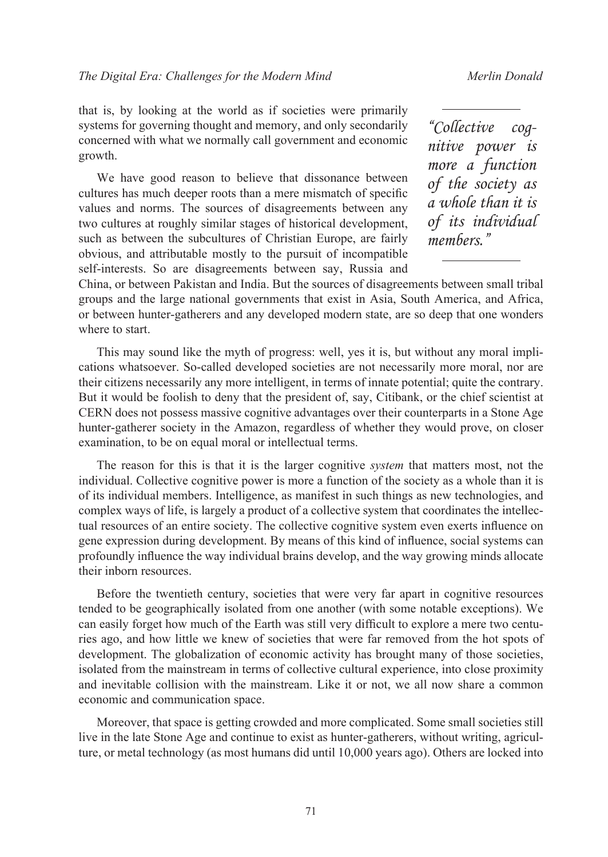that is, by looking at the world as if societies were primarily systems for governing thought and memory, and only secondarily concerned with what we normally call government and economic growth.

We have good reason to believe that dissonance between cultures has much deeper roots than a mere mismatch of specific values and norms. The sources of disagreements between any two cultures at roughly similar stages of historical development, such as between the subcultures of Christian Europe, are fairly obvious, and attributable mostly to the pursuit of incompatible self-interests. So are disagreements between say, Russia and *"Collective cognitive power is more a function of the society as a whole than it is of its individual members."*

China, or between Pakistan and India. But the sources of disagreements between small tribal groups and the large national governments that exist in Asia, South America, and Africa, or between hunter-gatherers and any developed modern state, are so deep that one wonders where to start.

This may sound like the myth of progress: well, yes it is, but without any moral implications whatsoever. So-called developed societies are not necessarily more moral, nor are their citizens necessarily any more intelligent, in terms of innate potential; quite the contrary. But it would be foolish to deny that the president of, say, Citibank, or the chief scientist at CERN does not possess massive cognitive advantages over their counterparts in a Stone Age hunter-gatherer society in the Amazon, regardless of whether they would prove, on closer examination, to be on equal moral or intellectual terms.

The reason for this is that it is the larger cognitive *system* that matters most, not the individual. Collective cognitive power is more a function of the society as a whole than it is of its individual members. Intelligence, as manifest in such things as new technologies, and complex ways of life, is largely a product of a collective system that coordinates the intellectual resources of an entire society. The collective cognitive system even exerts influence on gene expression during development. By means of this kind of influence, social systems can profoundly influence the way individual brains develop, and the way growing minds allocate their inborn resources.

Before the twentieth century, societies that were very far apart in cognitive resources tended to be geographically isolated from one another (with some notable exceptions). We can easily forget how much of the Earth was still very difficult to explore a mere two centuries ago, and how little we knew of societies that were far removed from the hot spots of development. The globalization of economic activity has brought many of those societies, isolated from the mainstream in terms of collective cultural experience, into close proximity and inevitable collision with the mainstream. Like it or not, we all now share a common economic and communication space.

Moreover, that space is getting crowded and more complicated. Some small societies still live in the late Stone Age and continue to exist as hunter-gatherers, without writing, agriculture, or metal technology (as most humans did until 10,000 years ago). Others are locked into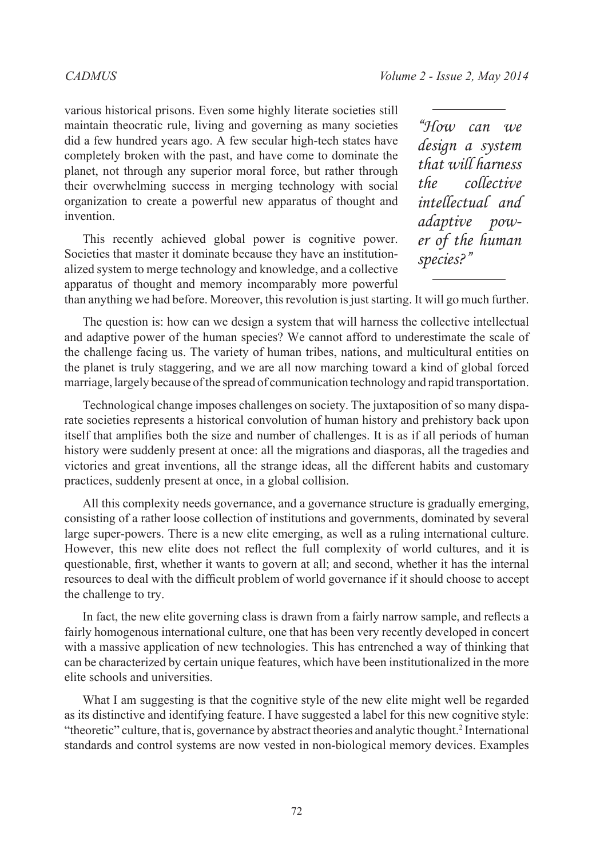various historical prisons. Even some highly literate societies still maintain theocratic rule, living and governing as many societies did a few hundred years ago. A few secular high-tech states have completely broken with the past, and have come to dominate the planet, not through any superior moral force, but rather through their overwhelming success in merging technology with social organization to create a powerful new apparatus of thought and invention.

This recently achieved global power is cognitive power. Societies that master it dominate because they have an institutionalized system to merge technology and knowledge, and a collective apparatus of thought and memory incomparably more powerful

*"How can we design a system that will harness the collective intellectual and adaptive power of the human species?"*

than anything we had before. Moreover, this revolution is just starting. It will go much further.

The question is: how can we design a system that will harness the collective intellectual and adaptive power of the human species? We cannot afford to underestimate the scale of the challenge facing us. The variety of human tribes, nations, and multicultural entities on the planet is truly staggering, and we are all now marching toward a kind of global forced marriage, largely because of the spread of communication technology and rapid transportation.

Technological change imposes challenges on society. The juxtaposition of so many disparate societies represents a historical convolution of human history and prehistory back upon itself that amplifies both the size and number of challenges. It is as if all periods of human history were suddenly present at once: all the migrations and diasporas, all the tragedies and victories and great inventions, all the strange ideas, all the different habits and customary practices, suddenly present at once, in a global collision.

All this complexity needs governance, and a governance structure is gradually emerging, consisting of a rather loose collection of institutions and governments, dominated by several large super-powers. There is a new elite emerging, as well as a ruling international culture. However, this new elite does not reflect the full complexity of world cultures, and it is questionable, first, whether it wants to govern at all; and second, whether it has the internal resources to deal with the difficult problem of world governance if it should choose to accept the challenge to try.

In fact, the new elite governing class is drawn from a fairly narrow sample, and reflects a fairly homogenous international culture, one that has been very recently developed in concert with a massive application of new technologies. This has entrenched a way of thinking that can be characterized by certain unique features, which have been institutionalized in the more elite schools and universities.

What I am suggesting is that the cognitive style of the new elite might well be regarded as its distinctive and identifying feature. I have suggested a label for this new cognitive style: "theoretic" culture, that is, governance by abstract theories and analytic thought.<sup>[2](#page-11-1)</sup> International standards and control systems are now vested in non-biological memory devices. Examples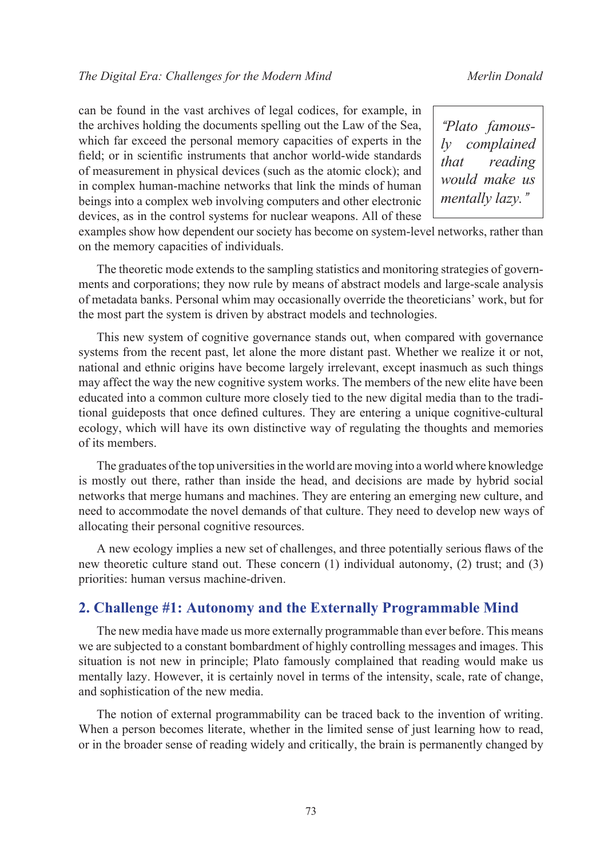can be found in the vast archives of legal codices, for example, in the archives holding the documents spelling out the Law of the Sea, which far exceed the personal memory capacities of experts in the field; or in scientific instruments that anchor world-wide standards of measurement in physical devices (such as the atomic clock); and in complex human-machine networks that link the minds of human beings into a complex web involving computers and other electronic devices, as in the control systems for nuclear weapons. All of these

*"Plato famously complained that reading would make us mentally lazy."*

examples show how dependent our society has become on system-level networks, rather than on the memory capacities of individuals.

The theoretic mode extends to the sampling statistics and monitoring strategies of governments and corporations; they now rule by means of abstract models and large-scale analysis of metadata banks. Personal whim may occasionally override the theoreticians' work, but for the most part the system is driven by abstract models and technologies.

This new system of cognitive governance stands out, when compared with governance systems from the recent past, let alone the more distant past. Whether we realize it or not, national and ethnic origins have become largely irrelevant, except inasmuch as such things may affect the way the new cognitive system works. The members of the new elite have been educated into a common culture more closely tied to the new digital media than to the traditional guideposts that once defined cultures. They are entering a unique cognitive-cultural ecology, which will have its own distinctive way of regulating the thoughts and memories of its members.

The graduates of the top universities in the world are moving into a world where knowledge is mostly out there, rather than inside the head, and decisions are made by hybrid social networks that merge humans and machines. They are entering an emerging new culture, and need to accommodate the novel demands of that culture. They need to develop new ways of allocating their personal cognitive resources.

A new ecology implies a new set of challenges, and three potentially serious flaws of the new theoretic culture stand out. These concern (1) individual autonomy, (2) trust; and (3) priorities: human versus machine-driven.

### **2. Challenge #1: Autonomy and the Externally Programmable Mind**

The new media have made us more externally programmable than ever before. This means we are subjected to a constant bombardment of highly controlling messages and images. This situation is not new in principle; Plato famously complained that reading would make us mentally lazy. However, it is certainly novel in terms of the intensity, scale, rate of change, and sophistication of the new media.

The notion of external programmability can be traced back to the invention of writing. When a person becomes literate, whether in the limited sense of just learning how to read, or in the broader sense of reading widely and critically, the brain is permanently changed by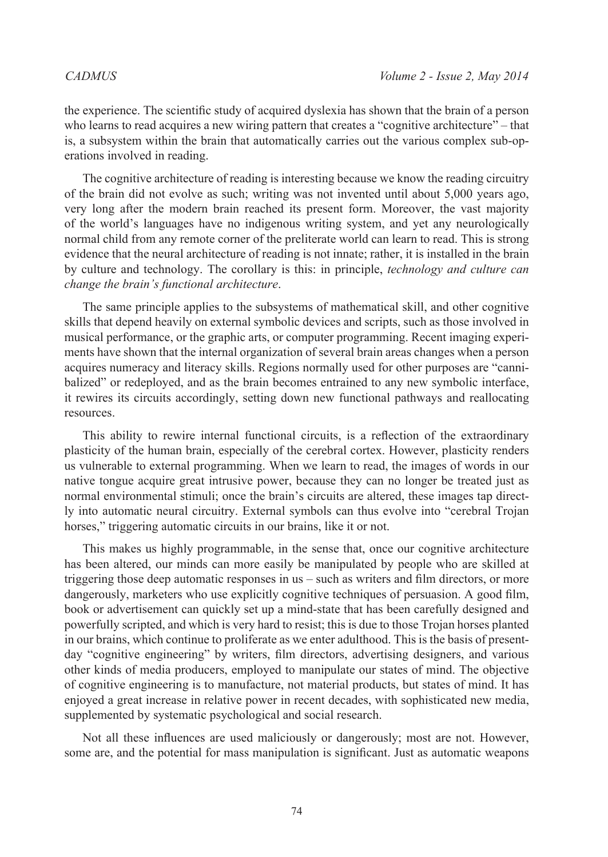the experience. The scientific study of acquired dyslexia has shown that the brain of a person who learns to read acquires a new wiring pattern that creates a "cognitive architecture" – that is, a subsystem within the brain that automatically carries out the various complex sub-operations involved in reading.

The cognitive architecture of reading is interesting because we know the reading circuitry of the brain did not evolve as such; writing was not invented until about 5,000 years ago, very long after the modern brain reached its present form. Moreover, the vast majority of the world's languages have no indigenous writing system, and yet any neurologically normal child from any remote corner of the preliterate world can learn to read. This is strong evidence that the neural architecture of reading is not innate; rather, it is installed in the brain by culture and technology. The corollary is this: in principle, *technology and culture can change the brain's functional architecture*.

The same principle applies to the subsystems of mathematical skill, and other cognitive skills that depend heavily on external symbolic devices and scripts, such as those involved in musical performance, or the graphic arts, or computer programming. Recent imaging experiments have shown that the internal organization of several brain areas changes when a person acquires numeracy and literacy skills. Regions normally used for other purposes are "cannibalized" or redeployed, and as the brain becomes entrained to any new symbolic interface, it rewires its circuits accordingly, setting down new functional pathways and reallocating resources.

This ability to rewire internal functional circuits, is a reflection of the extraordinary plasticity of the human brain, especially of the cerebral cortex. However, plasticity renders us vulnerable to external programming. When we learn to read, the images of words in our native tongue acquire great intrusive power, because they can no longer be treated just as normal environmental stimuli; once the brain's circuits are altered, these images tap directly into automatic neural circuitry. External symbols can thus evolve into "cerebral Trojan horses," triggering automatic circuits in our brains, like it or not.

This makes us highly programmable, in the sense that, once our cognitive architecture has been altered, our minds can more easily be manipulated by people who are skilled at triggering those deep automatic responses in us – such as writers and film directors, or more dangerously, marketers who use explicitly cognitive techniques of persuasion. A good film, book or advertisement can quickly set up a mind-state that has been carefully designed and powerfully scripted, and which is very hard to resist; this is due to those Trojan horses planted in our brains, which continue to proliferate as we enter adulthood. This is the basis of presentday "cognitive engineering" by writers, film directors, advertising designers, and various other kinds of media producers, employed to manipulate our states of mind. The objective of cognitive engineering is to manufacture, not material products, but states of mind. It has enjoyed a great increase in relative power in recent decades, with sophisticated new media, supplemented by systematic psychological and social research.

Not all these influences are used maliciously or dangerously; most are not. However, some are, and the potential for mass manipulation is significant. Just as automatic weapons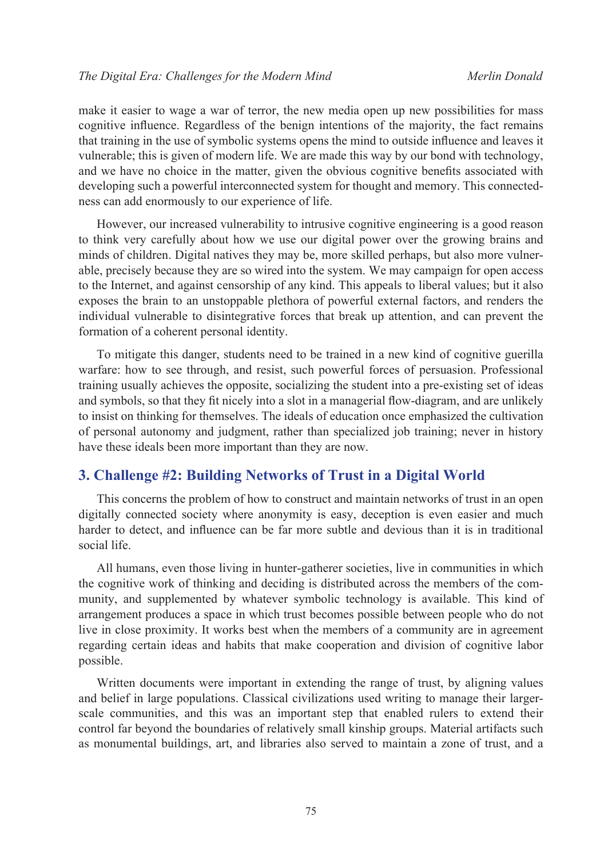make it easier to wage a war of terror, the new media open up new possibilities for mass cognitive influence. Regardless of the benign intentions of the majority, the fact remains that training in the use of symbolic systems opens the mind to outside influence and leaves it vulnerable; this is given of modern life. We are made this way by our bond with technology, and we have no choice in the matter, given the obvious cognitive benefits associated with developing such a powerful interconnected system for thought and memory. This connectedness can add enormously to our experience of life.

However, our increased vulnerability to intrusive cognitive engineering is a good reason to think very carefully about how we use our digital power over the growing brains and minds of children. Digital natives they may be, more skilled perhaps, but also more vulnerable, precisely because they are so wired into the system. We may campaign for open access to the Internet, and against censorship of any kind. This appeals to liberal values; but it also exposes the brain to an unstoppable plethora of powerful external factors, and renders the individual vulnerable to disintegrative forces that break up attention, and can prevent the formation of a coherent personal identity.

To mitigate this danger, students need to be trained in a new kind of cognitive guerilla warfare: how to see through, and resist, such powerful forces of persuasion. Professional training usually achieves the opposite, socializing the student into a pre-existing set of ideas and symbols, so that they fit nicely into a slot in a managerial flow-diagram, and are unlikely to insist on thinking for themselves. The ideals of education once emphasized the cultivation of personal autonomy and judgment, rather than specialized job training; never in history have these ideals been more important than they are now.

# **3. Challenge #2: Building Networks of Trust in a Digital World**

This concerns the problem of how to construct and maintain networks of trust in an open digitally connected society where anonymity is easy, deception is even easier and much harder to detect, and influence can be far more subtle and devious than it is in traditional social life.

All humans, even those living in hunter-gatherer societies, live in communities in which the cognitive work of thinking and deciding is distributed across the members of the community, and supplemented by whatever symbolic technology is available. This kind of arrangement produces a space in which trust becomes possible between people who do not live in close proximity. It works best when the members of a community are in agreement regarding certain ideas and habits that make cooperation and division of cognitive labor possible.

Written documents were important in extending the range of trust, by aligning values and belief in large populations. Classical civilizations used writing to manage their largerscale communities, and this was an important step that enabled rulers to extend their control far beyond the boundaries of relatively small kinship groups. Material artifacts such as monumental buildings, art, and libraries also served to maintain a zone of trust, and a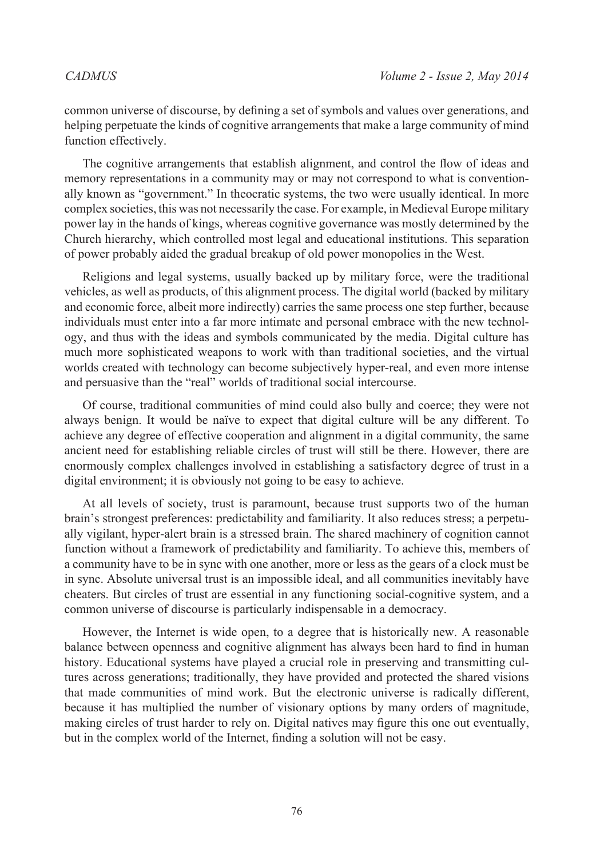common universe of discourse, by defining a set of symbols and values over generations, and helping perpetuate the kinds of cognitive arrangements that make a large community of mind function effectively.

The cognitive arrangements that establish alignment, and control the flow of ideas and memory representations in a community may or may not correspond to what is conventionally known as "government." In theocratic systems, the two were usually identical. In more complex societies, this was not necessarily the case. For example, in Medieval Europe military power lay in the hands of kings, whereas cognitive governance was mostly determined by the Church hierarchy, which controlled most legal and educational institutions. This separation of power probably aided the gradual breakup of old power monopolies in the West.

Religions and legal systems, usually backed up by military force, were the traditional vehicles, as well as products, of this alignment process. The digital world (backed by military and economic force, albeit more indirectly) carries the same process one step further, because individuals must enter into a far more intimate and personal embrace with the new technology, and thus with the ideas and symbols communicated by the media. Digital culture has much more sophisticated weapons to work with than traditional societies, and the virtual worlds created with technology can become subjectively hyper-real, and even more intense and persuasive than the "real" worlds of traditional social intercourse.

Of course, traditional communities of mind could also bully and coerce; they were not always benign. It would be naïve to expect that digital culture will be any different. To achieve any degree of effective cooperation and alignment in a digital community, the same ancient need for establishing reliable circles of trust will still be there. However, there are enormously complex challenges involved in establishing a satisfactory degree of trust in a digital environment; it is obviously not going to be easy to achieve.

At all levels of society, trust is paramount, because trust supports two of the human brain's strongest preferences: predictability and familiarity. It also reduces stress; a perpetually vigilant, hyper-alert brain is a stressed brain. The shared machinery of cognition cannot function without a framework of predictability and familiarity. To achieve this, members of a community have to be in sync with one another, more or less as the gears of a clock must be in sync. Absolute universal trust is an impossible ideal, and all communities inevitably have cheaters. But circles of trust are essential in any functioning social-cognitive system, and a common universe of discourse is particularly indispensable in a democracy.

However, the Internet is wide open, to a degree that is historically new. A reasonable balance between openness and cognitive alignment has always been hard to find in human history. Educational systems have played a crucial role in preserving and transmitting cultures across generations; traditionally, they have provided and protected the shared visions that made communities of mind work. But the electronic universe is radically different, because it has multiplied the number of visionary options by many orders of magnitude, making circles of trust harder to rely on. Digital natives may figure this one out eventually, but in the complex world of the Internet, finding a solution will not be easy.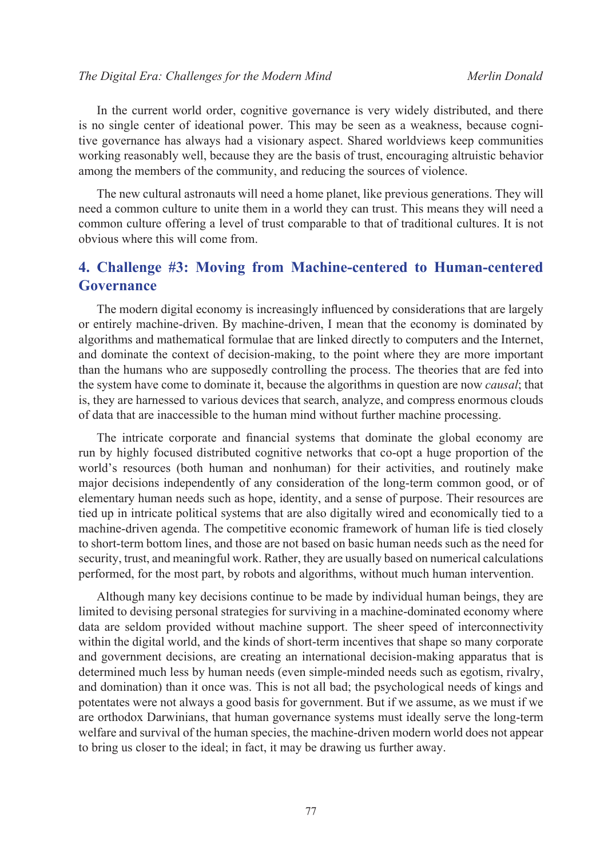In the current world order, cognitive governance is very widely distributed, and there is no single center of ideational power. This may be seen as a weakness, because cognitive governance has always had a visionary aspect. Shared worldviews keep communities working reasonably well, because they are the basis of trust, encouraging altruistic behavior among the members of the community, and reducing the sources of violence.

The new cultural astronauts will need a home planet, like previous generations. They will need a common culture to unite them in a world they can trust. This means they will need a common culture offering a level of trust comparable to that of traditional cultures. It is not obvious where this will come from.

# **4. Challenge #3: Moving from Machine-centered to Human-centered Governance**

The modern digital economy is increasingly influenced by considerations that are largely or entirely machine-driven. By machine-driven, I mean that the economy is dominated by algorithms and mathematical formulae that are linked directly to computers and the Internet, and dominate the context of decision-making, to the point where they are more important than the humans who are supposedly controlling the process. The theories that are fed into the system have come to dominate it, because the algorithms in question are now *causal*; that is, they are harnessed to various devices that search, analyze, and compress enormous clouds of data that are inaccessible to the human mind without further machine processing.

The intricate corporate and financial systems that dominate the global economy are run by highly focused distributed cognitive networks that co-opt a huge proportion of the world's resources (both human and nonhuman) for their activities, and routinely make major decisions independently of any consideration of the long-term common good, or of elementary human needs such as hope, identity, and a sense of purpose. Their resources are tied up in intricate political systems that are also digitally wired and economically tied to a machine-driven agenda. The competitive economic framework of human life is tied closely to short-term bottom lines, and those are not based on basic human needs such as the need for security, trust, and meaningful work. Rather, they are usually based on numerical calculations performed, for the most part, by robots and algorithms, without much human intervention.

Although many key decisions continue to be made by individual human beings, they are limited to devising personal strategies for surviving in a machine-dominated economy where data are seldom provided without machine support. The sheer speed of interconnectivity within the digital world, and the kinds of short-term incentives that shape so many corporate and government decisions, are creating an international decision-making apparatus that is determined much less by human needs (even simple-minded needs such as egotism, rivalry, and domination) than it once was. This is not all bad; the psychological needs of kings and potentates were not always a good basis for government. But if we assume, as we must if we are orthodox Darwinians, that human governance systems must ideally serve the long-term welfare and survival of the human species, the machine-driven modern world does not appear to bring us closer to the ideal; in fact, it may be drawing us further away.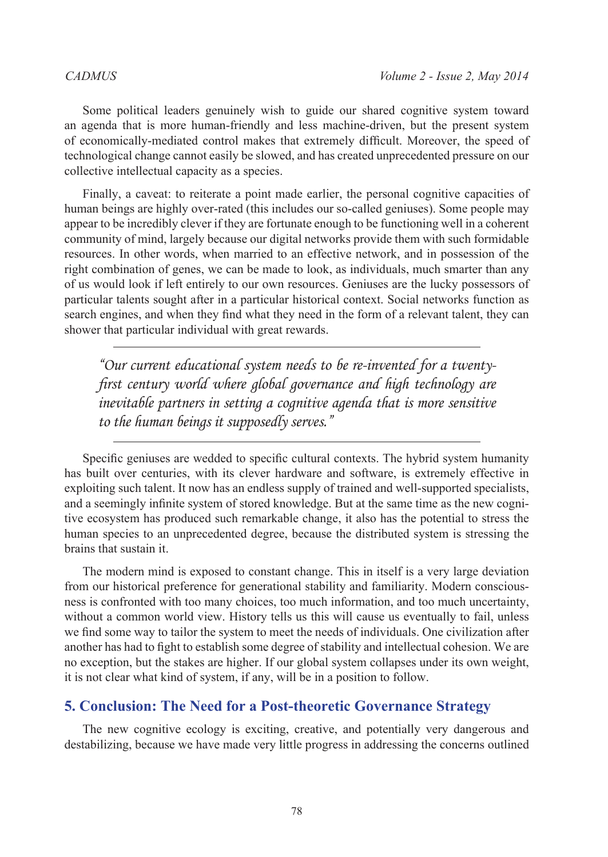Some political leaders genuinely wish to guide our shared cognitive system toward an agenda that is more human-friendly and less machine-driven, but the present system of economically-mediated control makes that extremely difficult. Moreover, the speed of technological change cannot easily be slowed, and has created unprecedented pressure on our collective intellectual capacity as a species.

Finally, a caveat: to reiterate a point made earlier, the personal cognitive capacities of human beings are highly over-rated (this includes our so-called geniuses). Some people may appear to be incredibly clever if they are fortunate enough to be functioning well in a coherent community of mind, largely because our digital networks provide them with such formidable resources. In other words, when married to an effective network, and in possession of the right combination of genes, we can be made to look, as individuals, much smarter than any of us would look if left entirely to our own resources. Geniuses are the lucky possessors of particular talents sought after in a particular historical context. Social networks function as search engines, and when they find what they need in the form of a relevant talent, they can shower that particular individual with great rewards.

*"Our current educational system needs to be re-invented for a twentyfirst century world where global governance and high technology are inevitable partners in setting a cognitive agenda that is more sensitive to the human beings it supposedly serves."*

Specific geniuses are wedded to specific cultural contexts. The hybrid system humanity has built over centuries, with its clever hardware and software, is extremely effective in exploiting such talent. It now has an endless supply of trained and well-supported specialists, and a seemingly infinite system of stored knowledge. But at the same time as the new cognitive ecosystem has produced such remarkable change, it also has the potential to stress the human species to an unprecedented degree, because the distributed system is stressing the brains that sustain it.

The modern mind is exposed to constant change. This in itself is a very large deviation from our historical preference for generational stability and familiarity. Modern consciousness is confronted with too many choices, too much information, and too much uncertainty, without a common world view. History tells us this will cause us eventually to fail, unless we find some way to tailor the system to meet the needs of individuals. One civilization after another has had to fight to establish some degree of stability and intellectual cohesion. We are no exception, but the stakes are higher. If our global system collapses under its own weight, it is not clear what kind of system, if any, will be in a position to follow.

# **5. Conclusion: The Need for a Post-theoretic Governance Strategy**

The new cognitive ecology is exciting, creative, and potentially very dangerous and destabilizing, because we have made very little progress in addressing the concerns outlined